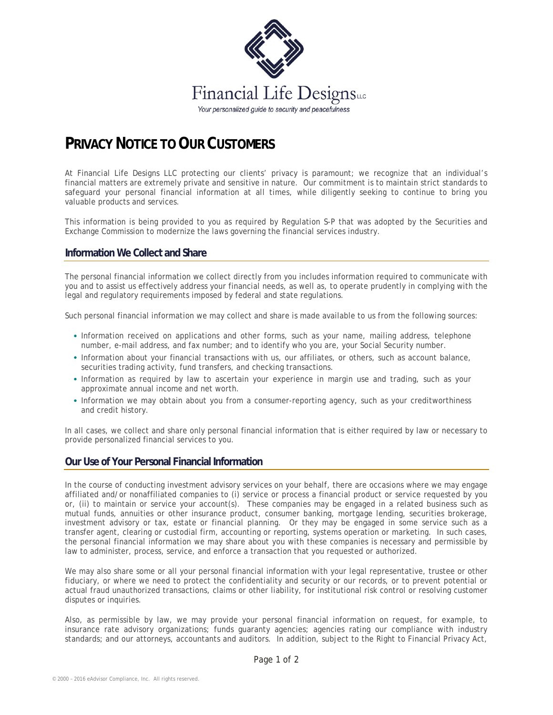

# **PRIVACY NOTICE TO OUR CUSTOMERS**

At Financial Life Designs LLC protecting our clients' privacy is paramount; we recognize that an individual's financial matters are extremely private and sensitive in nature. Our commitment is to maintain strict standards to safeguard your personal financial information at all times, while diligently seeking to continue to bring you valuable products and services.

This information is being provided to you as required by Regulation S-P that was adopted by the Securities and Exchange Commission to modernize the laws governing the financial services industry.

#### **Information We Collect and Share**

The personal financial information we collect directly from you includes information required to communicate with you and to assist us effectively address your financial needs, as well as, to operate prudently in complying with the legal and regulatory requirements imposed by federal and state regulations.

Such personal financial information we may collect and share is made available to us from the following sources:

- Information received on applications and other forms, such as your name, mailing address, telephone number, e-mail address, and fax number; and to identify who you are, your Social Security number.
- Information about your financial transactions with us, our affiliates, or others, such as account balance, securities trading activity, fund transfers, and checking transactions.
- Information as required by law to ascertain your experience in margin use and trading, such as your approximate annual income and net worth.
- Information we may obtain about you from a consumer-reporting agency, such as your creditworthiness and credit history.

In all cases, we collect and share only personal financial information that is either required by law or necessary to provide personalized financial services to you.

### **Our Use of Your Personal Financial Information**

In the course of conducting investment advisory services on your behalf, there are occasions where we may engage affiliated and/or nonaffiliated companies to (i) service or process a financial product or service requested by you or, (ii) to maintain or service your account(s). These companies may be engaged in a related business such as mutual funds, annuities or other insurance product, consumer banking, mortgage lending, securities brokerage, investment advisory or tax, estate or financial planning. Or they may be engaged in some service such as a transfer agent, clearing or custodial firm, accounting or reporting, systems operation or marketing. In such cases, the personal financial information we may share about you with these companies is necessary and permissible by law to administer, process, service, and enforce a transaction that you requested or authorized.

We may also share some or all your personal financial information with your legal representative, trustee or other fiduciary, or where we need to protect the confidentiality and security or our records, or to prevent potential or actual fraud unauthorized transactions, claims or other liability, for institutional risk control or resolving customer disputes or inquiries.

Also, as permissible by law, we may provide your personal financial information on request, for example, to insurance rate advisory organizations; funds guaranty agencies; agencies rating our compliance with industry standards; and our attorneys, accountants and auditors. In addition, subject to the Right to Financial Privacy Act,